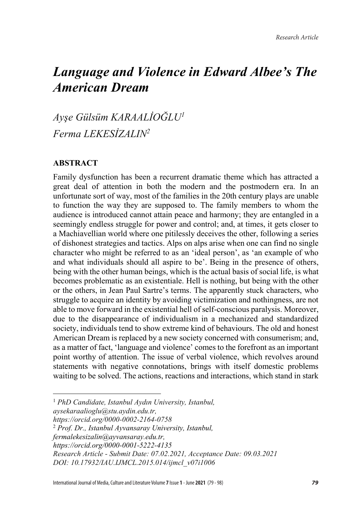# *Language and Violence in Edward Albee's The American Dream*

*Ayşe Gülsüm KARAALİOĞLU<sup>1</sup> Ferma LEKESİZALIN2*

#### **ABSTRACT**

Family dysfunction has been a recurrent dramatic theme which has attracted a great deal of attention in both the modern and the postmodern era. In an unfortunate sort of way, most of the families in the 20th century plays are unable to function the way they are supposed to. The family members to whom the audience is introduced cannot attain peace and harmony; they are entangled in a seemingly endless struggle for power and control; and, at times, it gets closer to a Machiavellian world where one pitilessly deceives the other, following a series of dishonest strategies and tactics. Alps on alps arise when one can find no single character who might be referred to as an 'ideal person', as 'an example of who and what individuals should all aspire to be'. Being in the presence of others, being with the other human beings, which is the actual basis of social life, is what becomes problematic as an existentiale. Hell is nothing, but being with the other or the others, in Jean Paul Sartre's terms. The apparently stuck characters, who struggle to acquire an identity by avoiding victimization and nothingness, are not able to move forward in the existential hell of self-conscious paralysis. Moreover, due to the disappearance of individualism in a mechanized and standardized society, individuals tend to show extreme kind of behaviours. The old and honest American Dream is replaced by a new society concerned with consumerism; and, as a matter of fact, 'language and violence' comes to the forefront as an important point worthy of attention. The issue of verbal violence, which revolves around statements with negative connotations, brings with itself domestic problems waiting to be solved. The actions, reactions and interactions, which stand in stark

 $\overline{\phantom{a}}$ 

<sup>1</sup> *PhD Candidate, Istanbul Aydın University, Istanbul,* 

*aysekaraalioglu@stu.aydin.edu.tr,* 

*https://orcid.org/0000-0002-2164-0758*

<sup>2</sup> *Prof. Dr., Istanbul Ayvansaray University, Istanbul,* 

*fermalekesizalin@ayvansaray.edu.tr,* 

*https://orcid.org/0000-0001-5222-4135*

*Research Article - Submit Date: 07.02.2021, Acceptance Date: 09.03.2021*

*DOI: 10.17932/IAU.IJMCL.2015.014/ijmcl\_v07i1006*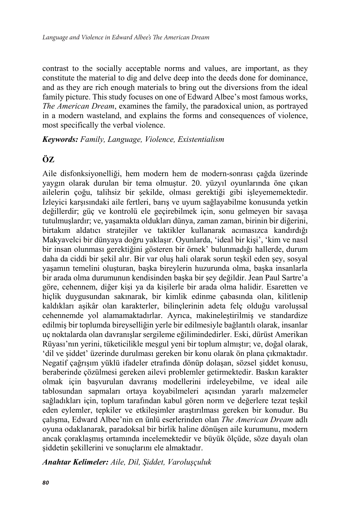contrast to the socially acceptable norms and values, are important, as they constitute the material to dig and delve deep into the deeds done for dominance, and as they are rich enough materials to bring out the diversions from the ideal family picture. This study focuses on one of Edward Albee's most famous works, *The American Dream*, examines the family, the paradoxical union, as portrayed in a modern wasteland, and explains the forms and consequences of violence, most specifically the verbal violence.

*Keywords: Family, Language, Violence, Existentialism*

## **ÖZ**

Aile disfonksiyonelliği, hem modern hem de modern-sonrası çağda üzerinde yaygın olarak durulan bir tema olmuştur. 20. yüzyıl oyunlarında öne çıkan ailelerin çoğu, talihsiz bir şekilde, olması gerektiği gibi işleyememektedir. İzleyici karşısındaki aile fertleri, barış ve uyum sağlayabilme konusunda yetkin değillerdir; güç ve kontrolü ele geçirebilmek için, sonu gelmeyen bir savaşa tutulmuşlardır; ve, yaşamakta oldukları dünya, zaman zaman, birinin bir diğerini, birtakım aldatıcı stratejiler ve taktikler kullanarak acımasızca kandırdığı Makyavelci bir dünyaya doğru yaklaşır. Oyunlarda, 'ideal bir kişi', 'kim ve nasıl bir insan olunması gerektiğini gösteren bir örnek' bulunmadığı hallerde, durum daha da ciddi bir şekil alır. Bir var oluş hali olarak sorun teşkil eden şey, sosyal yaşamın temelini oluşturan, başka bireylerin huzurunda olma, başka insanlarla bir arada olma durumunun kendisinden başka bir şey değildir. Jean Paul Sartre'a göre, cehennem, diğer kişi ya da kişilerle bir arada olma halidir. Esaretten ve hiçlik duygusundan sakınarak, bir kimlik edinme çabasında olan, kilitlenip kaldıkları aşikâr olan karakterler, bilinçlerinin adeta felç olduğu varoluşsal cehennemde yol alamamaktadırlar. Ayrıca, makineleştirilmiş ve standardize edilmiş bir toplumda bireyselliğin yerle bir edilmesiyle bağlantılı olarak, insanlar uç noktalarda olan davranışlar sergileme eğilimindedirler. Eski, dürüst Amerikan Rüyası'nın yerini, tüketicilikle meşgul yeni bir toplum almıştır; ve, doğal olarak, 'dil ve şiddet' üzerinde durulması gereken bir konu olarak ön plana çıkmaktadır. Negatif çağrışım yüklü ifadeler etrafında dönüp dolaşan, sözsel şiddet konusu, beraberinde çözülmesi gereken ailevi problemler getirmektedir. Baskın karakter olmak için başvurulan davranış modellerini irdeleyebilme, ve ideal aile tablosundan sapmaları ortaya koyabilmeleri açısından yararlı malzemeler sağladıkları için, toplum tarafından kabul gören norm ve değerlere tezat teşkil eden eylemler, tepkiler ve etkileşimler araştırılması gereken bir konudur. Bu çalışma, Edward Albee'nin en ünlü eserlerinden olan *The American Dream* adlı oyuna odaklanarak, paradoksal bir birlik haline dönüşen aile kurumunu, modern ancak çoraklaşmış ortamında incelemektedir ve büyük ölçüde, söze dayalı olan şiddetin şekillerini ve sonuçlarını ele almaktadır.

*Anahtar Kelimeler: Aile, Dil, Şiddet, Varoluşçuluk*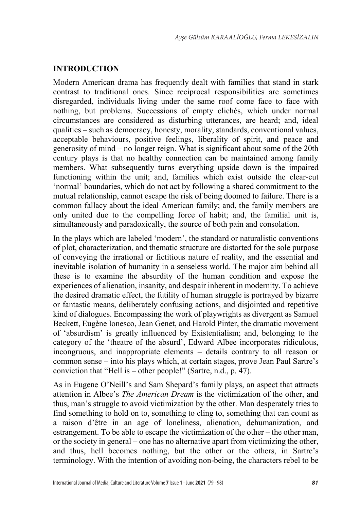### **INTRODUCTION**

Modern American drama has frequently dealt with families that stand in stark contrast to traditional ones. Since reciprocal responsibilities are sometimes disregarded, individuals living under the same roof come face to face with nothing, but problems. Successions of empty clichés, which under normal circumstances are considered as disturbing utterances, are heard; and, ideal qualities – such as democracy, honesty, morality, standards, conventional values, acceptable behaviours, positive feelings, liberality of spirit, and peace and generosity of mind – no longer reign. What is significant about some of the 20th century plays is that no healthy connection can be maintained among family members. What subsequently turns everything upside down is the impaired functioning within the unit; and, families which exist outside the clear-cut 'normal' boundaries, which do not act by following a shared commitment to the mutual relationship, cannot escape the risk of being doomed to failure. There is a common fallacy about the ideal American family; and, the family members are only united due to the compelling force of habit; and, the familial unit is, simultaneously and paradoxically, the source of both pain and consolation.

In the plays which are labeled 'modern', the standard or naturalistic conventions of plot, characterization, and thematic structure are distorted for the sole purpose of conveying the irrational or fictitious nature of reality, and the essential and inevitable isolation of humanity in a senseless world. The major aim behind all these is to examine the absurdity of the human condition and expose the experiences of alienation, insanity, and despair inherent in modernity. To achieve the desired dramatic effect, the futility of human struggle is portrayed by bizarre or fantastic means, deliberately confusing actions, and disjointed and repetitive kind of dialogues. Encompassing the work of playwrights as divergent as Samuel Beckett, Eugène Ionesco, Jean Genet, and Harold Pinter, the dramatic movement of 'absurdism' is greatly influenced by Existentialism; and, belonging to the category of the 'theatre of the absurd', Edward Albee incorporates ridiculous, incongruous, and inappropriate elements – details contrary to all reason or common sense – into his plays which, at certain stages, prove Jean Paul Sartre's conviction that "Hell is – other people!" (Sartre, n.d., p. 47).

As in Eugene O'Neill's and Sam Shepard's family plays, an aspect that attracts attention in Albee's *The American Dream* is the victimization of the other, and thus, man's struggle to avoid victimization by the other. Man desperately tries to find something to hold on to, something to cling to, something that can count as a raison d'être in an age of loneliness, alienation, dehumanization, and estrangement. To be able to escape the victimization of the other – the other man, or the society in general – one has no alternative apart from victimizing the other, and thus, hell becomes nothing, but the other or the others, in Sartre's terminology. With the intention of avoiding non-being, the characters rebel to be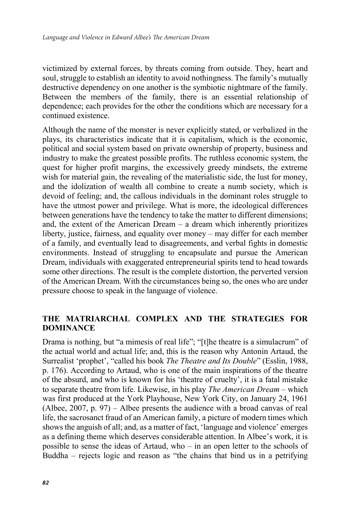victimized by external forces, by threats coming from outside. They, heart and soul, struggle to establish an identity to avoid nothingness. The family's mutually destructive dependency on one another is the symbiotic nightmare of the family. Between the members of the family, there is an essential relationship of dependence; each provides for the other the conditions which are necessary for a continued existence.

Although the name of the monster is never explicitly stated, or verbalized in the plays, its characteristics indicate that it is capitalism, which is the economic, political and social system based on private ownership of property, business and industry to make the greatest possible profits. The ruthless economic system, the quest for higher profit margins, the excessively greedy mindsets, the extreme wish for material gain, the revealing of the materialistic side, the lust for money, and the idolization of wealth all combine to create a numb society, which is devoid of feeling; and, the callous individuals in the dominant roles struggle to have the utmost power and privilege. What is more, the ideological differences between generations have the tendency to take the matter to different dimensions; and, the extent of the American Dream – a dream which inherently prioritizes liberty, justice, fairness, and equality over money – may differ for each member of a family, and eventually lead to disagreements, and verbal fights in domestic environments. Instead of struggling to encapsulate and pursue the American Dream, individuals with exaggerated entrepreneurial spirits tend to head towards some other directions. The result is the complete distortion, the perverted version of the American Dream. With the circumstances being so, the ones who are under pressure choose to speak in the language of violence.

## **THE MATRIARCHAL COMPLEX AND THE STRATEGIES FOR DOMINANCE**

Drama is nothing, but "a mimesis of real life"; "[t]he theatre is a simulacrum" of the actual world and actual life; and, this is the reason why Antonin Artaud, the Surrealist 'prophet', "called his book *The Theatre and Its Double*" (Esslin, 1988, p. 176). According to Artaud, who is one of the main inspirations of the theatre of the absurd, and who is known for his 'theatre of cruelty', it is a fatal mistake to separate theatre from life. Likewise, in his play *The American Dream* – which was first produced at the York Playhouse, New York City, on January 24, 1961 (Albee, 2007, p. 97) – Albee presents the audience with a broad canvas of real life, the sacrosanct fraud of an American family, a picture of modern times which shows the anguish of all; and, as a matter of fact, 'language and violence' emerges as a defining theme which deserves considerable attention. In Albee's work, it is possible to sense the ideas of Artaud, who – in an open letter to the schools of Buddha – rejects logic and reason as "the chains that bind us in a petrifying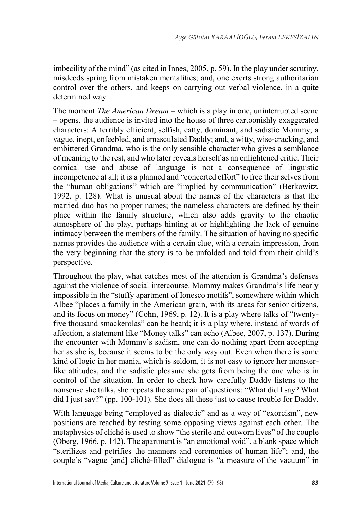imbecility of the mind" (as cited in Innes, 2005, p. 59). In the play under scrutiny, misdeeds spring from mistaken mentalities; and, one exerts strong authoritarian control over the others, and keeps on carrying out verbal violence, in a quite determined way.

The moment *The American Dream* – which is a play in one, uninterrupted scene – opens, the audience is invited into the house of three cartoonishly exaggerated characters: A terribly efficient, selfish, catty, dominant, and sadistic Mommy; a vague, inept, enfeebled, and emasculated Daddy; and, a witty, wise-cracking, and embittered Grandma, who is the only sensible character who gives a semblance of meaning to the rest, and who later reveals herself as an enlightened critic. Their comical use and abuse of language is not a consequence of linguistic incompetence at all; it is a planned and "concerted effort" to free their selves from the "human obligations" which are "implied by communication" (Berkowitz, 1992, p. 128). What is unusual about the names of the characters is that the married duo has no proper names; the nameless characters are defined by their place within the family structure, which also adds gravity to the chaotic atmosphere of the play, perhaps hinting at or highlighting the lack of genuine intimacy between the members of the family. The situation of having no specific names provides the audience with a certain clue, with a certain impression, from the very beginning that the story is to be unfolded and told from their child's perspective.

Throughout the play, what catches most of the attention is Grandma's defenses against the violence of social intercourse. Mommy makes Grandma's life nearly impossible in the "stuffy apartment of Ionesco motifs", somewhere within which Albee "places a family in the American grain, with its areas for senior citizens, and its focus on money" (Cohn, 1969, p. 12). It is a play where talks of "twentyfive thousand smackerolas" can be heard; it is a play where, instead of words of affection, a statement like "Money talks" can echo (Albee, 2007, p. 137). During the encounter with Mommy's sadism, one can do nothing apart from accepting her as she is, because it seems to be the only way out. Even when there is some kind of logic in her mania, which is seldom, it is not easy to ignore her monsterlike attitudes, and the sadistic pleasure she gets from being the one who is in control of the situation. In order to check how carefully Daddy listens to the nonsense she talks, she repeats the same pair of questions: "What did I say? What did I just say?" (pp. 100-101). She does all these just to cause trouble for Daddy.

With language being "employed as dialectic" and as a way of "exorcism", new positions are reached by testing some opposing views against each other. The metaphysics of cliché is used to show "the sterile and outworn lives" of the couple (Oberg, 1966, p. 142). The apartment is "an emotional void", a blank space which "sterilizes and petrifies the manners and ceremonies of human life"; and, the couple's "vague [and] cliché-filled" dialogue is "a measure of the vacuum" in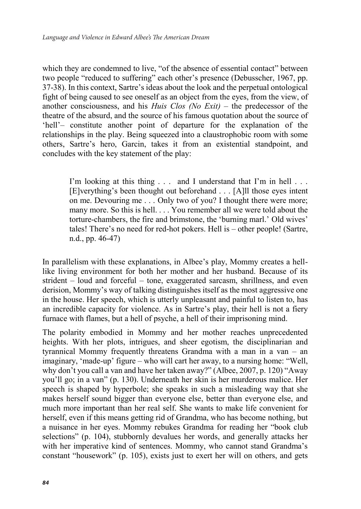which they are condemned to live, "of the absence of essential contact" between two people "reduced to suffering" each other's presence (Debusscher, 1967, pp. 37-38). In this context, Sartre's ideas about the look and the perpetual ontological fight of being caused to see oneself as an object from the eyes, from the view, of another consciousness, and his *Huis Clos (No Exit)* – the predecessor of the theatre of the absurd, and the source of his famous quotation about the source of 'hell'– constitute another point of departure for the explanation of the relationships in the play. Being squeezed into a claustrophobic room with some others, Sartre's hero, Garcin, takes it from an existential standpoint, and concludes with the key statement of the play:

> I'm looking at this thing . . . and I understand that I'm in hell . . . [E]verything's been thought out beforehand . . . [A]ll those eyes intent on me. Devouring me . . . Only two of you? I thought there were more; many more. So this is hell. . . . You remember all we were told about the torture-chambers, the fire and brimstone, the 'burning marl.' Old wives' tales! There's no need for red-hot pokers. Hell is – other people! (Sartre, n.d., pp. 46-47)

In parallelism with these explanations, in Albee's play, Mommy creates a helllike living environment for both her mother and her husband. Because of its strident – loud and forceful – tone, exaggerated sarcasm, shrillness, and even derision, Mommy's way of talking distinguishes itself as the most aggressive one in the house. Her speech, which is utterly unpleasant and painful to listen to, has an incredible capacity for violence. As in Sartre's play, their hell is not a fiery furnace with flames, but a hell of psyche, a hell of their imprisoning mind.

The polarity embodied in Mommy and her mother reaches unprecedented heights. With her plots, intrigues, and sheer egotism, the disciplinarian and tyrannical Mommy frequently threatens Grandma with a man in a van – an imaginary, 'made-up' figure – who will cart her away, to a nursing home: "Well, why don't you call a van and have her taken away?" (Albee, 2007, p. 120) "Away you'll go; in a van" (p. 130). Underneath her skin is her murderous malice. Her speech is shaped by hyperbole; she speaks in such a misleading way that she makes herself sound bigger than everyone else, better than everyone else, and much more important than her real self. She wants to make life convenient for herself, even if this means getting rid of Grandma, who has become nothing, but a nuisance in her eyes. Mommy rebukes Grandma for reading her "book club selections" (p. 104), stubbornly devalues her words, and generally attacks her with her imperative kind of sentences. Mommy, who cannot stand Grandma's constant "housework" (p. 105), exists just to exert her will on others, and gets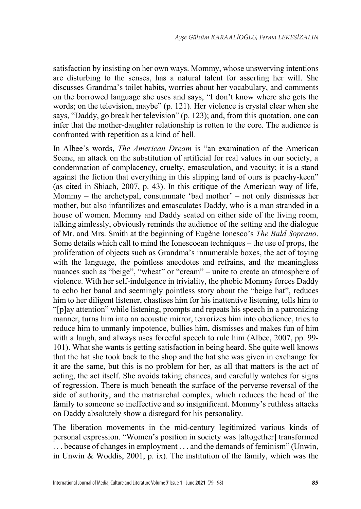satisfaction by insisting on her own ways. Mommy, whose unswerving intentions are disturbing to the senses, has a natural talent for asserting her will. She discusses Grandma's toilet habits, worries about her vocabulary, and comments on the borrowed language she uses and says, "I don't know where she gets the words; on the television, maybe" (p. 121). Her violence is crystal clear when she says, "Daddy, go break her television" (p. 123); and, from this quotation, one can infer that the mother-daughter relationship is rotten to the core. The audience is confronted with repetition as a kind of hell.

In Albee's words, *The American Dream* is "an examination of the American Scene, an attack on the substitution of artificial for real values in our society, a condemnation of complacency, cruelty, emasculation, and vacuity; it is a stand against the fiction that everything in this slipping land of ours is peachy-keen" (as cited in Shiach, 2007, p. 43). In this critique of the American way of life, Mommy – the archetypal, consummate 'bad mother' – not only dismisses her mother, but also infantilizes and emasculates Daddy, who is a man stranded in a house of women. Mommy and Daddy seated on either side of the living room, talking aimlessly, obviously reminds the audience of the setting and the dialogue of Mr. and Mrs. Smith at the beginning of Eugène Ionesco's *The Bald Soprano*. Some details which call to mind the Ionescoean techniques – the use of props, the proliferation of objects such as Grandma's innumerable boxes, the act of toying with the language, the pointless anecdotes and refrains, and the meaningless nuances such as "beige", "wheat" or "cream" – unite to create an atmosphere of violence. With her self-indulgence in triviality, the phobic Mommy forces Daddy to echo her banal and seemingly pointless story about the "beige hat", reduces him to her diligent listener, chastises him for his inattentive listening, tells him to "[p]ay attention" while listening, prompts and repeats his speech in a patronizing manner, turns him into an acoustic mirror, terrorizes him into obedience, tries to reduce him to unmanly impotence, bullies him, dismisses and makes fun of him with a laugh, and always uses forceful speech to rule him (Albee, 2007, pp. 99- 101). What she wants is getting satisfaction in being heard. She quite well knows that the hat she took back to the shop and the hat she was given in exchange for it are the same, but this is no problem for her, as all that matters is the act of acting, the act itself. She avoids taking chances, and carefully watches for signs of regression. There is much beneath the surface of the perverse reversal of the side of authority, and the matriarchal complex, which reduces the head of the family to someone so ineffective and so insignificant. Mommy's ruthless attacks on Daddy absolutely show a disregard for his personality.

The liberation movements in the mid-century legitimized various kinds of personal expression. "Women's position in society was [altogether] transformed . . . because of changes in employment . . . and the demands of feminism" (Unwin, in Unwin & Woddis, 2001, p. ix). The institution of the family, which was the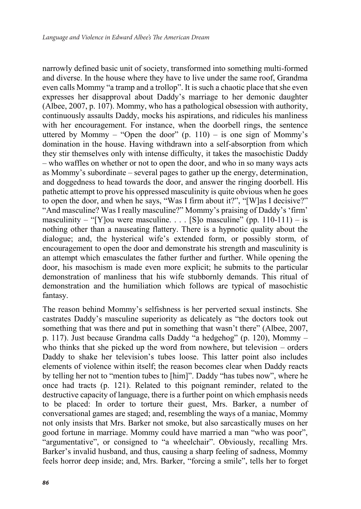narrowly defined basic unit of society, transformed into something multi-formed and diverse. In the house where they have to live under the same roof, Grandma even calls Mommy "a tramp and a trollop". It is such a chaotic place that she even expresses her disapproval about Daddy's marriage to her demonic daughter (Albee, 2007, p. 107). Mommy, who has a pathological obsession with authority, continuously assaults Daddy, mocks his aspirations, and ridicules his manliness with her encouragement. For instance, when the doorbell rings, the sentence uttered by Mommy – "Open the door"  $(p. 110)$  – is one sign of Mommy's domination in the house. Having withdrawn into a self-absorption from which they stir themselves only with intense difficulty, it takes the masochistic Daddy – who waffles on whether or not to open the door, and who in so many ways acts as Mommy's subordinate – several pages to gather up the energy, determination, and doggedness to head towards the door, and answer the ringing doorbell. His pathetic attempt to prove his oppressed masculinity is quite obvious when he goes to open the door, and when he says, "Was I firm about it?", "[W]as I decisive?" "And masculine? Was I really masculine?" Mommy's praising of Daddy's 'firm' masculinity – "[Y]ou were masculine. . . . [S]o masculine" (pp. 110-111) – is nothing other than a nauseating flattery. There is a hypnotic quality about the dialogue; and, the hysterical wife's extended form, or possibly storm, of encouragement to open the door and demonstrate his strength and masculinity is an attempt which emasculates the father further and further. While opening the door, his masochism is made even more explicit; he submits to the particular demonstration of manliness that his wife stubbornly demands. This ritual of demonstration and the humiliation which follows are typical of masochistic fantasy.

The reason behind Mommy's selfishness is her perverted sexual instincts. She castrates Daddy's masculine superiority as delicately as "the doctors took out something that was there and put in something that wasn't there" (Albee, 2007, p. 117). Just because Grandma calls Daddy "a hedgehog" (p. 120), Mommy – who thinks that she picked up the word from nowhere, but television – orders Daddy to shake her television's tubes loose. This latter point also includes elements of violence within itself; the reason becomes clear when Daddy reacts by telling her not to "mention tubes to [him]". Daddy "has tubes now", where he once had tracts (p. 121). Related to this poignant reminder, related to the destructive capacity of language, there is a further point on which emphasis needs to be placed: In order to torture their guest, Mrs. Barker, a number of conversational games are staged; and, resembling the ways of a maniac, Mommy not only insists that Mrs. Barker not smoke, but also sarcastically muses on her good fortune in marriage. Mommy could have married a man "who was poor", "argumentative", or consigned to "a wheelchair". Obviously, recalling Mrs. Barker's invalid husband, and thus, causing a sharp feeling of sadness, Mommy feels horror deep inside; and, Mrs. Barker, "forcing a smile", tells her to forget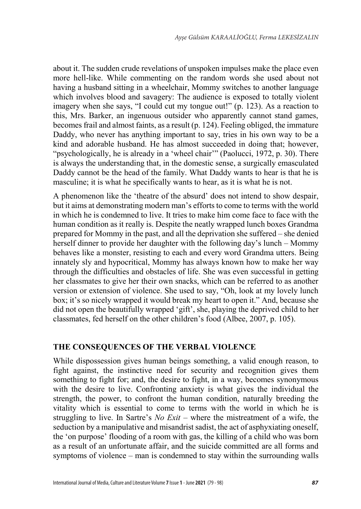about it. The sudden crude revelations of unspoken impulses make the place even more hell-like. While commenting on the random words she used about not having a husband sitting in a wheelchair, Mommy switches to another language which involves blood and savagery: The audience is exposed to totally violent imagery when she says, "I could cut my tongue out!" (p. 123). As a reaction to this, Mrs. Barker, an ingenuous outsider who apparently cannot stand games, becomes frail and almost faints, as a result (p. 124). Feeling obliged, the immature Daddy, who never has anything important to say, tries in his own way to be a kind and adorable husband. He has almost succeeded in doing that; however, "psychologically, he is already in a 'wheel chair'" (Paolucci, 1972, p. 30). There is always the understanding that, in the domestic sense, a surgically emasculated Daddy cannot be the head of the family. What Daddy wants to hear is that he is masculine; it is what he specifically wants to hear, as it is what he is not.

A phenomenon like the 'theatre of the absurd' does not intend to show despair, but it aims at demonstrating modern man's efforts to come to terms with the world in which he is condemned to live. It tries to make him come face to face with the human condition as it really is. Despite the neatly wrapped lunch boxes Grandma prepared for Mommy in the past, and all the deprivation she suffered – she denied herself dinner to provide her daughter with the following day's lunch – Mommy behaves like a monster, resisting to each and every word Grandma utters. Being innately sly and hypocritical, Mommy has always known how to make her way through the difficulties and obstacles of life. She was even successful in getting her classmates to give her their own snacks, which can be referred to as another version or extension of violence. She used to say, "Oh, look at my lovely lunch box; it's so nicely wrapped it would break my heart to open it." And, because she did not open the beautifully wrapped 'gift', she, playing the deprived child to her classmates, fed herself on the other children's food (Albee, 2007, p. 105).

## **THE CONSEQUENCES OF THE VERBAL VIOLENCE**

While dispossession gives human beings something, a valid enough reason, to fight against, the instinctive need for security and recognition gives them something to fight for; and, the desire to fight, in a way, becomes synonymous with the desire to live. Confronting anxiety is what gives the individual the strength, the power, to confront the human condition, naturally breeding the vitality which is essential to come to terms with the world in which he is struggling to live. In Sartre's *No Exit* – where the mistreatment of a wife, the seduction by a manipulative and misandrist sadist, the act of asphyxiating oneself, the 'on purpose' flooding of a room with gas, the killing of a child who was born as a result of an unfortunate affair, and the suicide committed are all forms and symptoms of violence – man is condemned to stay within the surrounding walls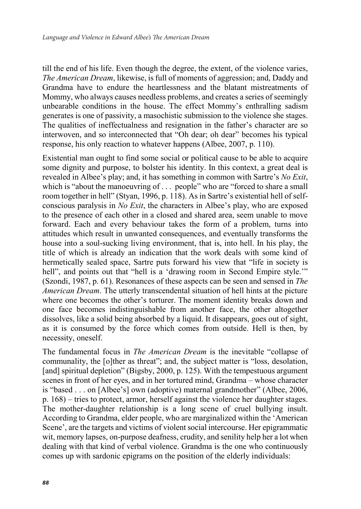till the end of his life. Even though the degree, the extent, of the violence varies, *The American Dream*, likewise, is full of moments of aggression; and, Daddy and Grandma have to endure the heartlessness and the blatant mistreatments of Mommy, who always causes needless problems, and creates a series of seemingly unbearable conditions in the house. The effect Mommy's enthralling sadism generates is one of passivity, a masochistic submission to the violence she stages. The qualities of ineffectualness and resignation in the father's character are so interwoven, and so interconnected that "Oh dear; oh dear" becomes his typical response, his only reaction to whatever happens (Albee, 2007, p. 110).

Existential man ought to find some social or political cause to be able to acquire some dignity and purpose, to bolster his identity. In this context, a great deal is revealed in Albee's play; and, it has something in common with Sartre's *No Exit*, which is "about the manoeuvring of . . . people" who are "forced to share a small room together in hell" (Styan, 1996, p. 118). As in Sartre's existential hell of selfconscious paralysis in *No Exit*, the characters in Albee's play, who are exposed to the presence of each other in a closed and shared area, seem unable to move forward. Each and every behaviour takes the form of a problem, turns into attitudes which result in unwanted consequences, and eventually transforms the house into a soul-sucking living environment, that is, into hell. In his play, the title of which is already an indication that the work deals with some kind of hermetically sealed space, Sartre puts forward his view that "life in society is hell", and points out that "hell is a 'drawing room in Second Empire style."" (Szondi, 1987, p. 61). Resonances of these aspects can be seen and sensed in *The American Dream*. The utterly transcendental situation of hell hints at the picture where one becomes the other's torturer. The moment identity breaks down and one face becomes indistinguishable from another face, the other altogether dissolves, like a solid being absorbed by a liquid. It disappears, goes out of sight, as it is consumed by the force which comes from outside. Hell is then, by necessity, oneself.

The fundamental focus in *The American Dream* is the inevitable "collapse of communality, the [o]ther as threat"; and, the subject matter is "loss, desolation, [and] spiritual depletion" (Bigsby, 2000, p. 125). With the tempestuous argument scenes in front of her eyes, and in her tortured mind, Grandma – whose character is "based . . . on [Albee's] own (adoptive) maternal grandmother" (Albee, 2006, p. 168) – tries to protect, armor, herself against the violence her daughter stages. The mother-daughter relationship is a long scene of cruel bullying insult. According to Grandma, elder people, who are marginalized within the 'American Scene', are the targets and victims of violent social intercourse. Her epigrammatic wit, memory lapses, on-purpose deafness, crudity, and senility help her a lot when dealing with that kind of verbal violence. Grandma is the one who continuously comes up with sardonic epigrams on the position of the elderly individuals: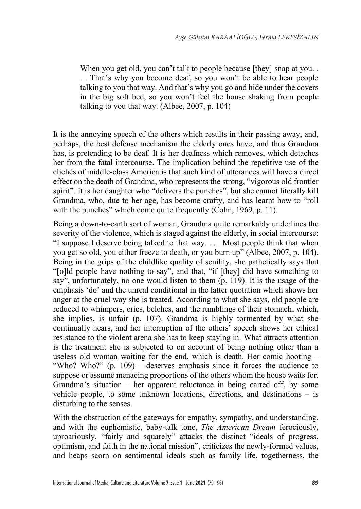When you get old, you can't talk to people because [they] snap at you... . . That's why you become deaf, so you won't be able to hear people talking to you that way. And that's why you go and hide under the covers in the big soft bed, so you won't feel the house shaking from people talking to you that way. (Albee, 2007, p. 104)

It is the annoying speech of the others which results in their passing away, and, perhaps, the best defense mechanism the elderly ones have, and thus Grandma has, is pretending to be deaf. It is her deafness which removes, which detaches her from the fatal intercourse. The implication behind the repetitive use of the clichés of middle-class America is that such kind of utterances will have a direct effect on the death of Grandma, who represents the strong, "vigorous old frontier spirit". It is her daughter who "delivers the punches", but she cannot literally kill Grandma, who, due to her age, has become crafty, and has learnt how to "roll with the punches" which come quite frequently (Cohn, 1969, p. 11).

Being a down-to-earth sort of woman, Grandma quite remarkably underlines the severity of the violence, which is staged against the elderly, in social intercourse: "I suppose I deserve being talked to that way. . . . Most people think that when you get so old, you either freeze to death, or you burn up" (Albee, 2007, p. 104). Being in the grips of the childlike quality of senility, she pathetically says that "[o]ld people have nothing to say", and that, "if [they] did have something to say", unfortunately, no one would listen to them (p. 119). It is the usage of the emphasis 'do' and the unreal conditional in the latter quotation which shows her anger at the cruel way she is treated. According to what she says, old people are reduced to whimpers, cries, belches, and the rumblings of their stomach, which, she implies, is unfair (p. 107). Grandma is highly tormented by what she continually hears, and her interruption of the others' speech shows her ethical resistance to the violent arena she has to keep staying in. What attracts attention is the treatment she is subjected to on account of being nothing other than a useless old woman waiting for the end, which is death. Her comic hooting – "Who? Who?" (p. 109) – deserves emphasis since it forces the audience to suppose or assume menacing proportions of the others whom the house waits for. Grandma's situation – her apparent reluctance in being carted off, by some vehicle people, to some unknown locations, directions, and destinations – is disturbing to the senses.

With the obstruction of the gateways for empathy, sympathy, and understanding, and with the euphemistic, baby-talk tone, *The American Dream* ferociously, uproariously, "fairly and squarely" attacks the distinct "ideals of progress, optimism, and faith in the national mission", criticizes the newly-formed values, and heaps scorn on sentimental ideals such as family life, togetherness, the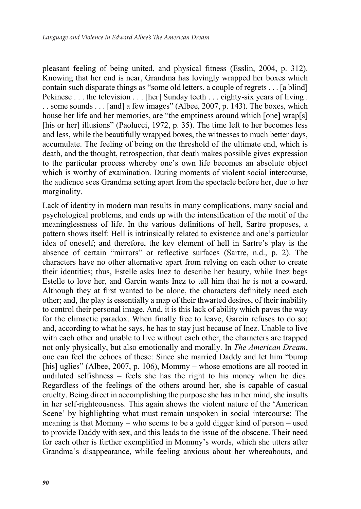pleasant feeling of being united, and physical fitness (Esslin, 2004, p. 312). Knowing that her end is near, Grandma has lovingly wrapped her boxes which contain such disparate things as "some old letters, a couple of regrets . . . [a blind] Pekinese . . . the television . . . [her] Sunday teeth . . . eighty-six years of living . . . some sounds . . . [and] a few images" (Albee, 2007, p. 143). The boxes, which house her life and her memories, are "the emptiness around which [one] wrap[s] [his or her] illusions" (Paolucci, 1972, p. 35). The time left to her becomes less and less, while the beautifully wrapped boxes, the witnesses to much better days, accumulate. The feeling of being on the threshold of the ultimate end, which is death, and the thought, retrospection, that death makes possible gives expression to the particular process whereby one's own life becomes an absolute object which is worthy of examination. During moments of violent social intercourse, the audience sees Grandma setting apart from the spectacle before her, due to her marginality.

Lack of identity in modern man results in many complications, many social and psychological problems, and ends up with the intensification of the motif of the meaninglessness of life. In the various definitions of hell, Sartre proposes, a pattern shows itself: Hell is intrinsically related to existence and one's particular idea of oneself; and therefore, the key element of hell in Sartre's play is the absence of certain "mirrors" or reflective surfaces (Sartre, n.d., p. 2). The characters have no other alternative apart from relying on each other to create their identities; thus, Estelle asks Inez to describe her beauty, while Inez begs Estelle to love her, and Garcin wants Inez to tell him that he is not a coward. Although they at first wanted to be alone, the characters definitely need each other; and, the play is essentially a map of their thwarted desires, of their inability to control their personal image. And, it is this lack of ability which paves the way for the climactic paradox. When finally free to leave, Garcin refuses to do so; and, according to what he says, he has to stay just because of Inez. Unable to live with each other and unable to live without each other, the characters are trapped not only physically, but also emotionally and morally. In *The American Dream*, one can feel the echoes of these: Since she married Daddy and let him "bump [his] uglies" (Albee, 2007, p. 106), Mommy – whose emotions are all rooted in undiluted selfishness – feels she has the right to his money when he dies. Regardless of the feelings of the others around her, she is capable of casual cruelty. Being direct in accomplishing the purpose she has in her mind, she insults in her self-righteousness. This again shows the violent nature of the 'American Scene' by highlighting what must remain unspoken in social intercourse: The meaning is that Mommy – who seems to be a gold digger kind of person – used to provide Daddy with sex, and this leads to the issue of the obscene. Their need for each other is further exemplified in Mommy's words, which she utters after Grandma's disappearance, while feeling anxious about her whereabouts, and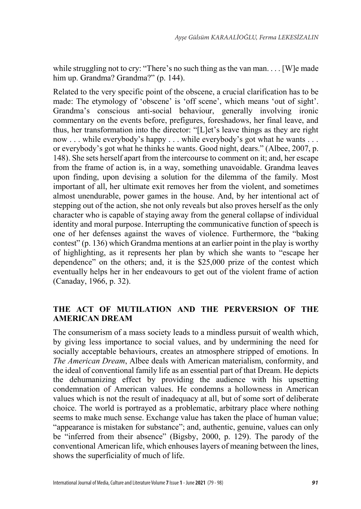while struggling not to cry: "There's no such thing as the van man... . [W] emade him up. Grandma? Grandma?" (p. 144).

Related to the very specific point of the obscene, a crucial clarification has to be made: The etymology of 'obscene' is 'off scene', which means 'out of sight'. Grandma's conscious anti-social behaviour, generally involving ironic commentary on the events before, prefigures, foreshadows, her final leave, and thus, her transformation into the director: "[L]et's leave things as they are right now . . . while everybody's happy . . . while everybody's got what he wants . . . or everybody's got what he thinks he wants. Good night, dears." (Albee, 2007, p. 148). She sets herself apart from the intercourse to comment on it; and, her escape from the frame of action is, in a way, something unavoidable. Grandma leaves upon finding, upon devising a solution for the dilemma of the family. Most important of all, her ultimate exit removes her from the violent, and sometimes almost unendurable, power games in the house. And, by her intentional act of stepping out of the action, she not only reveals but also proves herself as the only character who is capable of staying away from the general collapse of individual identity and moral purpose. Interrupting the communicative function of speech is one of her defenses against the waves of violence. Furthermore, the "baking contest" (p. 136) which Grandma mentions at an earlier point in the play is worthy of highlighting, as it represents her plan by which she wants to "escape her dependence" on the others; and, it is the \$25,000 prize of the contest which eventually helps her in her endeavours to get out of the violent frame of action (Canaday, 1966, p. 32).

## **THE ACT OF MUTILATION AND THE PERVERSION OF THE AMERICAN DREAM**

The consumerism of a mass society leads to a mindless pursuit of wealth which, by giving less importance to social values, and by undermining the need for socially acceptable behaviours, creates an atmosphere stripped of emotions. In *The American Dream*, Albee deals with American materialism, conformity, and the ideal of conventional family life as an essential part of that Dream. He depicts the dehumanizing effect by providing the audience with his upsetting condemnation of American values. He condemns a hollowness in American values which is not the result of inadequacy at all, but of some sort of deliberate choice. The world is portrayed as a problematic, arbitrary place where nothing seems to make much sense. Exchange value has taken the place of human value; "appearance is mistaken for substance"; and, authentic, genuine, values can only be "inferred from their absence" (Bigsby, 2000, p. 129). The parody of the conventional American life, which enhouses layers of meaning between the lines, shows the superficiality of much of life.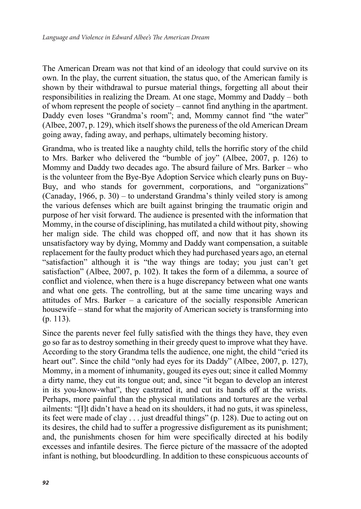The American Dream was not that kind of an ideology that could survive on its own. In the play, the current situation, the status quo, of the American family is shown by their withdrawal to pursue material things, forgetting all about their responsibilities in realizing the Dream. At one stage, Mommy and Daddy – both of whom represent the people of society – cannot find anything in the apartment. Daddy even loses "Grandma's room"; and, Mommy cannot find "the water" (Albee, 2007, p. 129), which itself shows the pureness of the old American Dream going away, fading away, and perhaps, ultimately becoming history.

Grandma, who is treated like a naughty child, tells the horrific story of the child to Mrs. Barker who delivered the "bumble of joy" (Albee, 2007, p. 126) to Mommy and Daddy two decades ago. The absurd failure of Mrs. Barker – who is the volunteer from the Bye-Bye Adoption Service which clearly puns on Buy-Buy, and who stands for government, corporations, and "organizations" (Canaday, 1966, p. 30) – to understand Grandma's thinly veiled story is among the various defenses which are built against bringing the traumatic origin and purpose of her visit forward. The audience is presented with the information that Mommy, in the course of disciplining, has mutilated a child without pity, showing her malign side. The child was chopped off, and now that it has shown its unsatisfactory way by dying, Mommy and Daddy want compensation, a suitable replacement for the faulty product which they had purchased years ago, an eternal "satisfaction" although it is "the way things are today; you just can't get satisfaction" (Albee, 2007, p. 102). It takes the form of a dilemma, a source of conflict and violence, when there is a huge discrepancy between what one wants and what one gets. The controlling, but at the same time uncaring ways and attitudes of Mrs. Barker – a caricature of the socially responsible American housewife – stand for what the majority of American society is transforming into (p. 113).

Since the parents never feel fully satisfied with the things they have, they even go so far as to destroy something in their greedy quest to improve what they have. According to the story Grandma tells the audience, one night, the child "cried its heart out". Since the child "only had eyes for its Daddy" (Albee, 2007, p. 127), Mommy, in a moment of inhumanity, gouged its eyes out; since it called Mommy a dirty name, they cut its tongue out; and, since "it began to develop an interest in its you-know-what", they castrated it, and cut its hands off at the wrists. Perhaps, more painful than the physical mutilations and tortures are the verbal ailments: "[I]t didn't have a head on its shoulders, it had no guts, it was spineless, its feet were made of clay . . . just dreadful things" (p. 128). Due to acting out on its desires, the child had to suffer a progressive disfigurement as its punishment; and, the punishments chosen for him were specifically directed at his bodily excesses and infantile desires. The fierce picture of the massacre of the adopted infant is nothing, but bloodcurdling. In addition to these conspicuous accounts of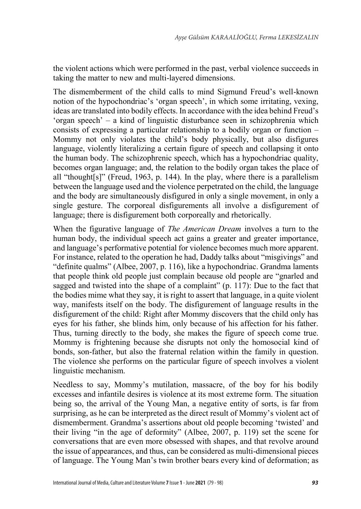the violent actions which were performed in the past, verbal violence succeeds in taking the matter to new and multi-layered dimensions.

The dismemberment of the child calls to mind Sigmund Freud's well-known notion of the hypochondriac's 'organ speech', in which some irritating, vexing, ideas are translated into bodily effects. In accordance with the idea behind Freud's 'organ speech' – a kind of linguistic disturbance seen in schizophrenia which consists of expressing a particular relationship to a bodily organ or function – Mommy not only violates the child's body physically, but also disfigures language, violently literalizing a certain figure of speech and collapsing it onto the human body. The schizophrenic speech, which has a hypochondriac quality, becomes organ language; and, the relation to the bodily organ takes the place of all "thought[s]" (Freud, 1963, p. 144). In the play, where there is a parallelism between the language used and the violence perpetrated on the child, the language and the body are simultaneously disfigured in only a single movement, in only a single gesture. The corporeal disfigurements all involve a disfigurement of language; there is disfigurement both corporeally and rhetorically.

When the figurative language of *The American Dream* involves a turn to the human body, the individual speech act gains a greater and greater importance, and language's performative potential for violence becomes much more apparent. For instance, related to the operation he had, Daddy talks about "misgivings" and "definite qualms" (Albee, 2007, p. 116), like a hypochondriac. Grandma laments that people think old people just complain because old people are "gnarled and sagged and twisted into the shape of a complaint" (p. 117): Due to the fact that the bodies mime what they say, it is right to assert that language, in a quite violent way, manifests itself on the body. The disfigurement of language results in the disfigurement of the child: Right after Mommy discovers that the child only has eyes for his father, she blinds him, only because of his affection for his father. Thus, turning directly to the body, she makes the figure of speech come true. Mommy is frightening because she disrupts not only the homosocial kind of bonds, son-father, but also the fraternal relation within the family in question. The violence she performs on the particular figure of speech involves a violent linguistic mechanism.

Needless to say, Mommy's mutilation, massacre, of the boy for his bodily excesses and infantile desires is violence at its most extreme form. The situation being so, the arrival of the Young Man, a negative entity of sorts, is far from surprising, as he can be interpreted as the direct result of Mommy's violent act of dismemberment. Grandma's assertions about old people becoming 'twisted' and their living "in the age of deformity" (Albee, 2007, p. 119) set the scene for conversations that are even more obsessed with shapes, and that revolve around the issue of appearances, and thus, can be considered as multi-dimensional pieces of language. The Young Man's twin brother bears every kind of deformation; as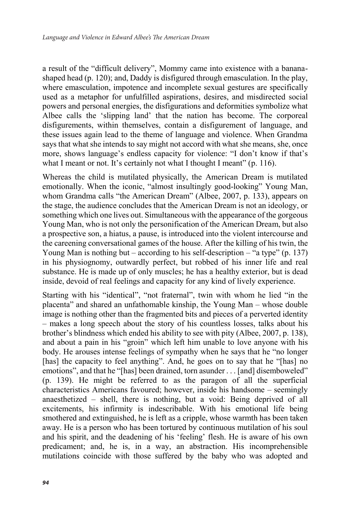a result of the "difficult delivery", Mommy came into existence with a bananashaped head (p. 120); and, Daddy is disfigured through emasculation. In the play, where emasculation, impotence and incomplete sexual gestures are specifically used as a metaphor for unfulfilled aspirations, desires, and misdirected social powers and personal energies, the disfigurations and deformities symbolize what Albee calls the 'slipping land' that the nation has become. The corporeal disfigurements, within themselves, contain a disfigurement of language, and these issues again lead to the theme of language and violence. When Grandma says that what she intends to say might not accord with what she means, she, once more, shows language's endless capacity for violence: "I don't know if that's what I meant or not. It's certainly not what I thought I meant" (p. 116).

Whereas the child is mutilated physically, the American Dream is mutilated emotionally. When the iconic, "almost insultingly good-looking" Young Man, whom Grandma calls "the American Dream" (Albee, 2007, p. 133), appears on the stage, the audience concludes that the American Dream is not an ideology, or something which one lives out. Simultaneous with the appearance of the gorgeous Young Man, who is not only the personification of the American Dream, but also a prospective son, a hiatus, a pause, is introduced into the violent intercourse and the careening conversational games of the house. After the killing of his twin, the Young Man is nothing but – according to his self-description – "a type"  $(p. 137)$ in his physiognomy, outwardly perfect, but robbed of his inner life and real substance. He is made up of only muscles; he has a healthy exterior, but is dead inside, devoid of real feelings and capacity for any kind of lively experience.

Starting with his "identical", "not fraternal", twin with whom he lied "in the placenta" and shared an unfathomable kinship, the Young Man – whose double image is nothing other than the fragmented bits and pieces of a perverted identity – makes a long speech about the story of his countless losses, talks about his brother's blindness which ended his ability to see with pity (Albee, 2007, p. 138), and about a pain in his "groin" which left him unable to love anyone with his body. He arouses intense feelings of sympathy when he says that he "no longer [has] the capacity to feel anything". And, he goes on to say that he "[has] no emotions", and that he "[has] been drained, torn asunder . . . [and] disemboweled" (p. 139). He might be referred to as the paragon of all the superficial characteristics Americans favoured; however, inside his handsome – seemingly anaesthetized – shell, there is nothing, but a void: Being deprived of all excitements, his infirmity is indescribable. With his emotional life being smothered and extinguished, he is left as a cripple, whose warmth has been taken away. He is a person who has been tortured by continuous mutilation of his soul and his spirit, and the deadening of his 'feeling' flesh. He is aware of his own predicament; and, he is, in a way, an abstraction. His incomprehensible mutilations coincide with those suffered by the baby who was adopted and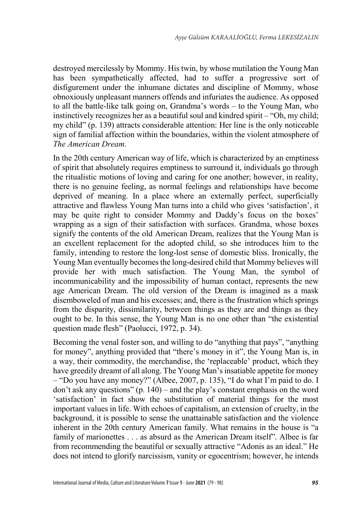destroyed mercilessly by Mommy. His twin, by whose mutilation the Young Man has been sympathetically affected, had to suffer a progressive sort of disfigurement under the inhumane dictates and discipline of Mommy, whose obnoxiously unpleasant manners offends and infuriates the audience. As opposed to all the battle-like talk going on, Grandma's words – to the Young Man, who instinctively recognizes her as a beautiful soul and kindred spirit – "Oh, my child; my child" (p. 139) attracts considerable attention: Her line is the only noticeable sign of familial affection within the boundaries, within the violent atmosphere of *The American Dream*.

In the 20th century American way of life, which is characterized by an emptiness of spirit that absolutely requires emptiness to surround it, individuals go through the ritualistic motions of loving and caring for one another; however, in reality, there is no genuine feeling, as normal feelings and relationships have become deprived of meaning. In a place where an externally perfect, superficially attractive and flawless Young Man turns into a child who gives 'satisfaction', it may be quite right to consider Mommy and Daddy's focus on the boxes' wrapping as a sign of their satisfaction with surfaces. Grandma, whose boxes signify the contents of the old American Dream, realizes that the Young Man is an excellent replacement for the adopted child, so she introduces him to the family, intending to restore the long-lost sense of domestic bliss. Ironically, the Young Man eventually becomes the long-desired child that Mommy believes will provide her with much satisfaction. The Young Man, the symbol of incommunicability and the impossibility of human contact, represents the new age American Dream. The old version of the Dream is imagined as a mask disemboweled of man and his excesses; and, there is the frustration which springs from the disparity, dissimilarity, between things as they are and things as they ought to be. In this sense, the Young Man is no one other than "the existential question made flesh" (Paolucci, 1972, p. 34).

Becoming the venal foster son, and willing to do "anything that pays", "anything for money", anything provided that "there's money in it", the Young Man is, in a way, their commodity, the merchandise, the 'replaceable' product, which they have greedily dreamt of all along. The Young Man's insatiable appetite for money – "Do you have any money?" (Albee, 2007, p. 135), "I do what I'm paid to do. I don't ask any questions" (p. 140) – and the play's constant emphasis on the word 'satisfaction' in fact show the substitution of material things for the most important values in life. With echoes of capitalism, an extension of cruelty, in the background, it is possible to sense the unattainable satisfaction and the violence inherent in the 20th century American family. What remains in the house is "a family of marionettes . . . as absurd as the American Dream itself". Albee is far from recommending the beautiful or sexually attractive "Adonis as an ideal." He does not intend to glorify narcissism, vanity or egocentrism; however, he intends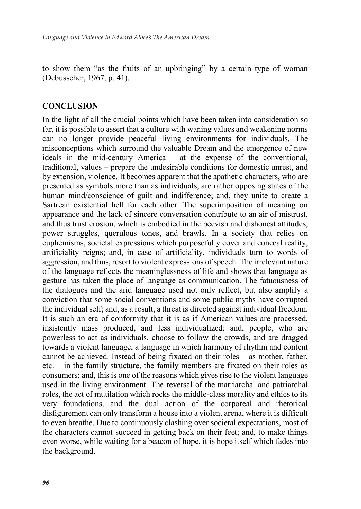to show them "as the fruits of an upbringing" by a certain type of woman (Debusscher, 1967, p. 41).

## **CONCLUSION**

In the light of all the crucial points which have been taken into consideration so far, it is possible to assert that a culture with waning values and weakening norms can no longer provide peaceful living environments for individuals. The misconceptions which surround the valuable Dream and the emergence of new ideals in the mid-century America – at the expense of the conventional, traditional, values – prepare the undesirable conditions for domestic unrest, and by extension, violence. It becomes apparent that the apathetic characters, who are presented as symbols more than as individuals, are rather opposing states of the human mind/conscience of guilt and indifference; and, they unite to create a Sartrean existential hell for each other. The superimposition of meaning on appearance and the lack of sincere conversation contribute to an air of mistrust, and thus trust erosion, which is embodied in the peevish and dishonest attitudes, power struggles, querulous tones, and brawls. In a society that relies on euphemisms, societal expressions which purposefully cover and conceal reality, artificiality reigns; and, in case of artificiality, individuals turn to words of aggression, and thus, resort to violent expressions of speech. The irrelevant nature of the language reflects the meaninglessness of life and shows that language as gesture has taken the place of language as communication. The fatuousness of the dialogues and the arid language used not only reflect, but also amplify a conviction that some social conventions and some public myths have corrupted the individual self; and, as a result, a threat is directed against individual freedom. It is such an era of conformity that it is as if American values are processed, insistently mass produced, and less individualized; and, people, who are powerless to act as individuals, choose to follow the crowds, and are dragged towards a violent language, a language in which harmony of rhythm and content cannot be achieved. Instead of being fixated on their roles – as mother, father, etc. – in the family structure, the family members are fixated on their roles as consumers; and, this is one of the reasons which gives rise to the violent language used in the living environment. The reversal of the matriarchal and patriarchal roles, the act of mutilation which rocks the middle-class morality and ethics to its very foundations, and the dual action of the corporeal and rhetorical disfigurement can only transform a house into a violent arena, where it is difficult to even breathe. Due to continuously clashing over societal expectations, most of the characters cannot succeed in getting back on their feet; and, to make things even worse, while waiting for a beacon of hope, it is hope itself which fades into the background.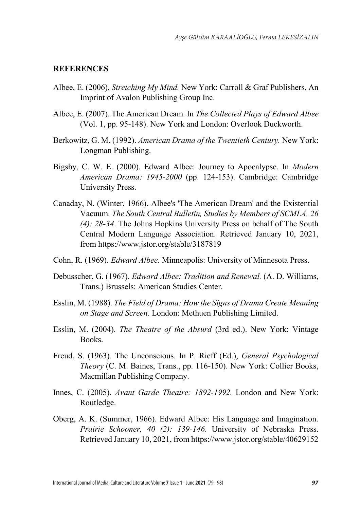#### **REFERENCES**

- Albee, E. (2006). *Stretching My Mind.* New York: Carroll & Graf Publishers, An Imprint of Avalon Publishing Group Inc.
- Albee, E. (2007). The American Dream. In *The Collected Plays of Edward Albee* (Vol. 1, pp. 95-148). New York and London: Overlook Duckworth.
- Berkowitz, G. M. (1992). *American Drama of the Twentieth Century.* New York: Longman Publishing.
- Bigsby, C. W. E. (2000). Edward Albee: Journey to Apocalypse. In *Modern American Drama: 1945-2000* (pp. 124-153). Cambridge: Cambridge University Press.
- Canaday, N. (Winter, 1966). Albee's 'The American Dream' and the Existential Vacuum. *The South Central Bulletin, Studies by Members of SCMLA, 26 (4): 28-34*. The Johns Hopkins University Press on behalf of The South Central Modern Language Association. Retrieved January 10, 2021, from https://www.jstor.org/stable/3187819
- Cohn, R. (1969). *Edward Albee.* Minneapolis: University of Minnesota Press.
- Debusscher, G. (1967). *Edward Albee: Tradition and Renewal.* (A. D. Williams, Trans.) Brussels: American Studies Center.
- Esslin, M. (1988). *The Field of Drama: How the Signs of Drama Create Meaning on Stage and Screen.* London: Methuen Publishing Limited.
- Esslin, M. (2004). *The Theatre of the Absurd* (3rd ed.). New York: Vintage Books.
- Freud, S. (1963). The Unconscious. In P. Rieff (Ed.), *General Psychological Theory* (C. M. Baines, Trans., pp. 116-150). New York: Collier Books, Macmillan Publishing Company.
- Innes, C. (2005). *Avant Garde Theatre: 1892-1992.* London and New York: Routledge.
- Oberg, A. K. (Summer, 1966). Edward Albee: His Language and Imagination. *Prairie Schooner, 40 (2): 139-146*. University of Nebraska Press. Retrieved January 10, 2021, from https://www.jstor.org/stable/40629152